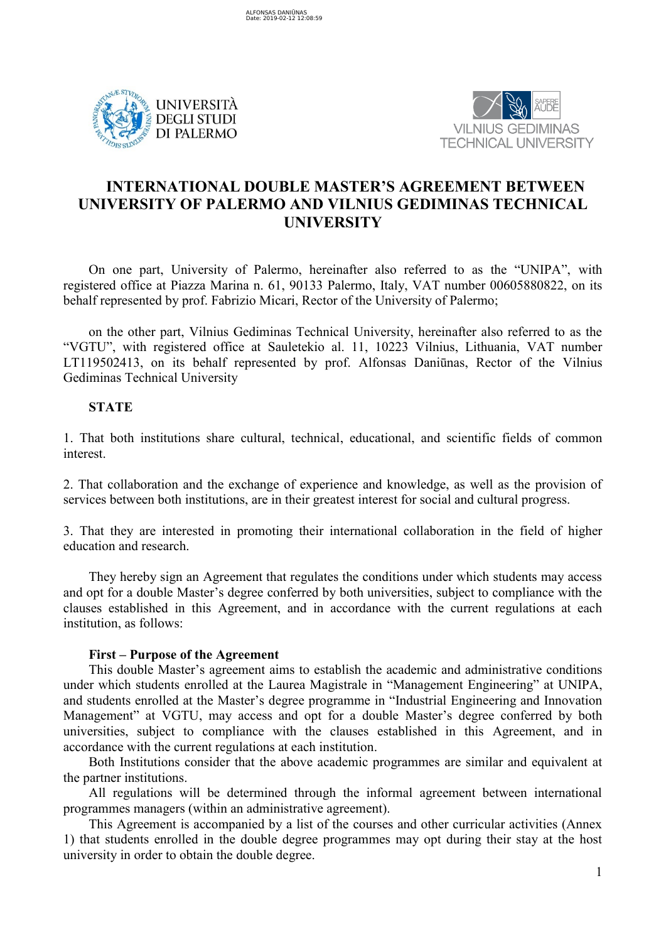



# **INTERNATIONAL DOUBLE MASTER'S AGREEMENT BETWEEN UNIVERSITY OF PALERMO AND VILNIUS GEDIMINAS TECHNICAL UNIVERSITY**

On one part, University of Palermo, hereinafter also referred to as the "UNIPA", with registered office at Piazza Marina n. 61, 90133 Palermo, Italy, VAT number 00605880822, on its behalf represented by prof. Fabrizio Micari, Rector of the University of Palermo;

on the other part, Vilnius Gediminas Technical University, hereinafter also referred to as the "VGTU", with registered office at Sauletekio al. 11, 10223 Vilnius, Lithuania, VAT number LT119502413, on its behalf represented by prof. Alfonsas Daniūnas, Rector of the Vilnius Gediminas Technical University

# **STATE**

1. That both institutions share cultural, technical, educational, and scientific fields of common interest.

2. That collaboration and the exchange of experience and knowledge, as well as the provision of services between both institutions, are in their greatest interest for social and cultural progress.

3. That they are interested in promoting their international collaboration in the field of higher education and research.

They hereby sign an Agreement that regulates the conditions under which students may access and opt for a double Master's degree conferred by both universities, subject to compliance with the clauses established in this Agreement, and in accordance with the current regulations at each institution, as follows:

# **First – Purpose of the Agreement**

This double Master's agreement aims to establish the academic and administrative conditions under which students enrolled at the Laurea Magistrale in "Management Engineering" at UNIPA, and students enrolled at the Master's degree programme in "Industrial Engineering and Innovation Management" at VGTU, may access and opt for a double Master's degree conferred by both universities, subject to compliance with the clauses established in this Agreement, and in accordance with the current regulations at each institution.

Both Institutions consider that the above academic programmes are similar and equivalent at the partner institutions.

All regulations will be determined through the informal agreement between international programmes managers (within an administrative agreement).

This Agreement is accompanied by a list of the courses and other curricular activities (Annex 1) that students enrolled in the double degree programmes may opt during their stay at the host university in order to obtain the double degree.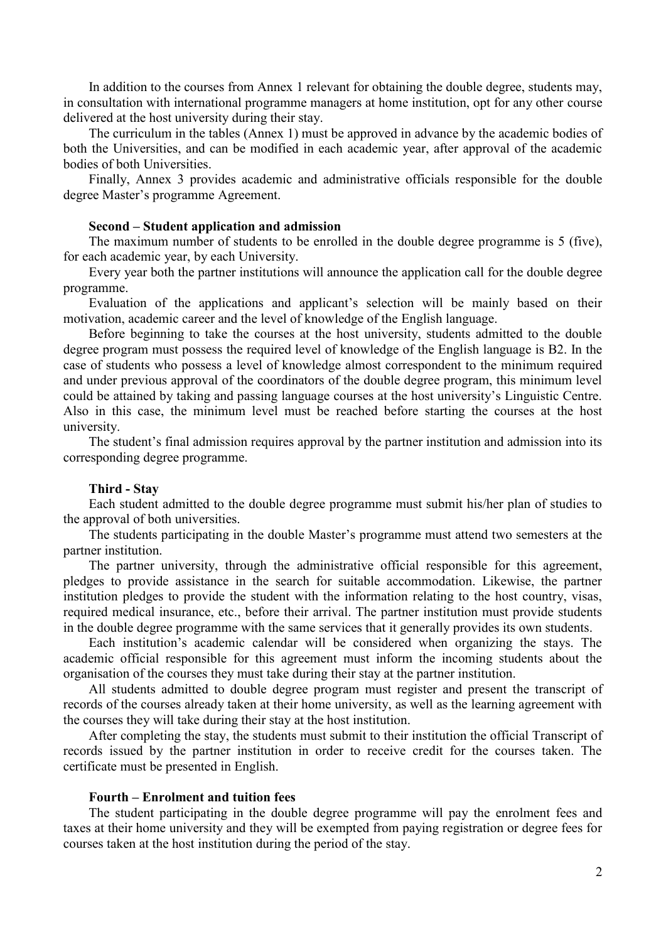In addition to the courses from Annex 1 relevant for obtaining the double degree, students may, in consultation with international programme managers at home institution, opt for any other course delivered at the host university during their stay.

The curriculum in the tables (Annex 1) must be approved in advance by the academic bodies of both the Universities, and can be modified in each academic year, after approval of the academic bodies of both Universities.

Finally, Annex 3 provides academic and administrative officials responsible for the double degree Master's programme Agreement.

#### **Second – Student application and admission**

The maximum number of students to be enrolled in the double degree programme is 5 (five), for each academic year, by each University.

Every year both the partner institutions will announce the application call for the double degree programme.

Evaluation of the applications and applicant's selection will be mainly based on their motivation, academic career and the level of knowledge of the English language.

Before beginning to take the courses at the host university, students admitted to the double degree program must possess the required level of knowledge of the English language is B2. In the case of students who possess a level of knowledge almost correspondent to the minimum required and under previous approval of the coordinators of the double degree program, this minimum level could be attained by taking and passing language courses at the host university's Linguistic Centre. Also in this case, the minimum level must be reached before starting the courses at the host university.

The student's final admission requires approval by the partner institution and admission into its corresponding degree programme.

### **Third - Stay**

Each student admitted to the double degree programme must submit his/her plan of studies to the approval of both universities.

The students participating in the double Master's programme must attend two semesters at the partner institution.

The partner university, through the administrative official responsible for this agreement, pledges to provide assistance in the search for suitable accommodation. Likewise, the partner institution pledges to provide the student with the information relating to the host country, visas, required medical insurance, etc., before their arrival. The partner institution must provide students in the double degree programme with the same services that it generally provides its own students.

Each institution's academic calendar will be considered when organizing the stays. The academic official responsible for this agreement must inform the incoming students about the organisation of the courses they must take during their stay at the partner institution.

All students admitted to double degree program must register and present the transcript of records of the courses already taken at their home university, as well as the learning agreement with the courses they will take during their stay at the host institution.

After completing the stay, the students must submit to their institution the official Transcript of records issued by the partner institution in order to receive credit for the courses taken. The certificate must be presented in English.

### **Fourth – Enrolment and tuition fees**

The student participating in the double degree programme will pay the enrolment fees and taxes at their home university and they will be exempted from paying registration or degree fees for courses taken at the host institution during the period of the stay.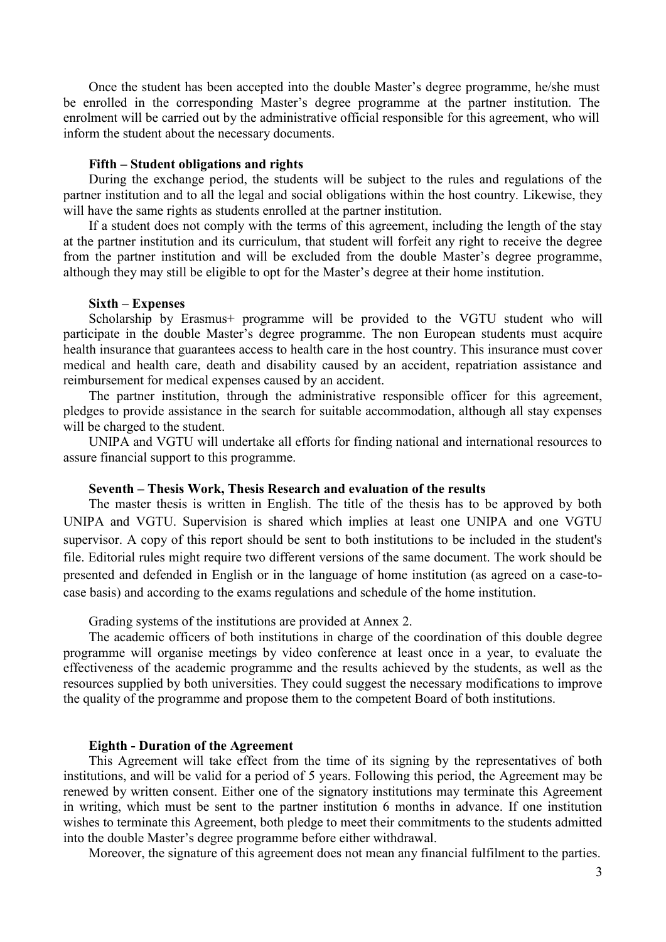Once the student has been accepted into the double Master's degree programme, he/she must be enrolled in the corresponding Master's degree programme at the partner institution. The enrolment will be carried out by the administrative official responsible for this agreement, who will inform the student about the necessary documents.

#### **Fifth – Student obligations and rights**

During the exchange period, the students will be subject to the rules and regulations of the partner institution and to all the legal and social obligations within the host country. Likewise, they will have the same rights as students enrolled at the partner institution.

If a student does not comply with the terms of this agreement, including the length of the stay at the partner institution and its curriculum, that student will forfeit any right to receive the degree from the partner institution and will be excluded from the double Master's degree programme, although they may still be eligible to opt for the Master's degree at their home institution.

#### **Sixth – Expenses**

Scholarship by Erasmus+ programme will be provided to the VGTU student who will participate in the double Master's degree programme. The non European students must acquire health insurance that guarantees access to health care in the host country. This insurance must cover medical and health care, death and disability caused by an accident, repatriation assistance and reimbursement for medical expenses caused by an accident.

The partner institution, through the administrative responsible officer for this agreement, pledges to provide assistance in the search for suitable accommodation, although all stay expenses will be charged to the student.

UNIPA and VGTU will undertake all efforts for finding national and international resources to assure financial support to this programme.

# **Seventh – Thesis Work, Thesis Research and evaluation of the results**

The master thesis is written in English. The title of the thesis has to be approved by both UNIPA and VGTU. Supervision is shared which implies at least one UNIPA and one VGTU supervisor. A copy of this report should be sent to both institutions to be included in the student's file. Editorial rules might require two different versions of the same document. The work should be presented and defended in English or in the language of home institution (as agreed on a case-tocase basis) and according to the exams regulations and schedule of the home institution.

Grading systems of the institutions are provided at Annex 2.

The academic officers of both institutions in charge of the coordination of this double degree programme will organise meetings by video conference at least once in a year, to evaluate the effectiveness of the academic programme and the results achieved by the students, as well as the resources supplied by both universities. They could suggest the necessary modifications to improve the quality of the programme and propose them to the competent Board of both institutions.

### **Eighth - Duration of the Agreement**

This Agreement will take effect from the time of its signing by the representatives of both institutions, and will be valid for a period of 5 years. Following this period, the Agreement may be renewed by written consent. Either one of the signatory institutions may terminate this Agreement in writing, which must be sent to the partner institution 6 months in advance. If one institution wishes to terminate this Agreement, both pledge to meet their commitments to the students admitted into the double Master's degree programme before either withdrawal.

Moreover, the signature of this agreement does not mean any financial fulfilment to the parties.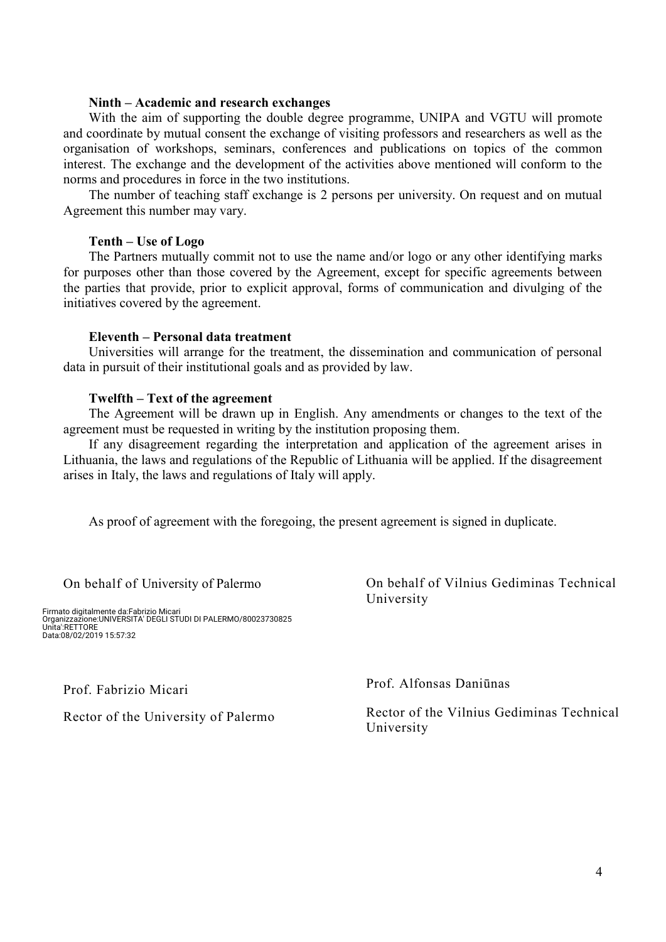# **Ninth – Academic and research exchanges**

With the aim of supporting the double degree programme, UNIPA and VGTU will promote and coordinate by mutual consent the exchange of visiting professors and researchers as well as the organisation of workshops, seminars, conferences and publications on topics of the common interest. The exchange and the development of the activities above mentioned will conform to the norms and procedures in force in the two institutions.

The number of teaching staff exchange is 2 persons per university. On request and on mutual Agreement this number may vary.

## **Tenth – Use of Logo**

The Partners mutually commit not to use the name and/or logo or any other identifying marks for purposes other than those covered by the Agreement, except for specific agreements between the parties that provide, prior to explicit approval, forms of communication and divulging of the initiatives covered by the agreement.

# **Eleventh – Personal data treatment**

Universities will arrange for the treatment, the dissemination and communication of personal data in pursuit of their institutional goals and as provided by law.

#### **Twelfth – Text of the agreement**

The Agreement will be drawn up in English. Any amendments or changes to the text of the agreement must be requested in writing by the institution proposing them.

If any disagreement regarding the interpretation and application of the agreement arises in Lithuania, the laws and regulations of the Republic of Lithuania will be applied. If the disagreement arises in Italy, the laws and regulations of Italy will apply.

As proof of agreement with the foregoing, the present agreement is signed in duplicate.

On behalf of University of Palermo

Firmato digitalmente da:Fabrizio Micari Organizzazione:UNIVERSITA' DEGLI STUDI DI PALERMO/80023730825 Unita':RETTORE Data:08/02/2019 15:57:32

Prof. Fabrizio Micari

Rector of the University of Palermo

On behalf of Vilnius Gediminas Technical University

Prof. Alfonsas Daniūnas

Rector of the Vilnius Gediminas Technical University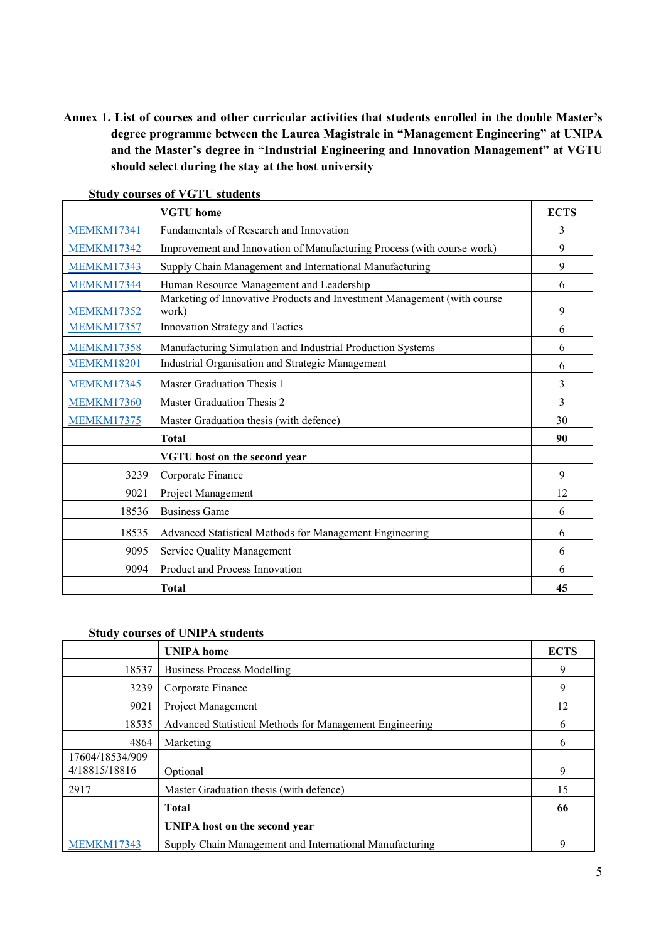**Annex 1. List of courses and other curricular activities that students enrolled in the double Master's degree programme between the Laurea Magistrale in "Management Engineering" at UNIPA and the Master's degree in "Industrial Engineering and Innovation Management" at VGTU should select during the stay at the host university**

|                   | $_{\rm{outu}}$ , courses or $_{\rm{v}}$ or $_{\rm{out}}$ stauchts<br><b>VGTU</b> home | <b>ECTS</b> |
|-------------------|---------------------------------------------------------------------------------------|-------------|
| <b>MEMKM17341</b> | Fundamentals of Research and Innovation                                               | 3           |
| <b>MEMKM17342</b> | Improvement and Innovation of Manufacturing Process (with course work)                | 9           |
| <b>MEMKM17343</b> | Supply Chain Management and International Manufacturing                               | 9           |
| <b>MEMKM17344</b> | Human Resource Management and Leadership                                              | 6           |
| <b>MEMKM17352</b> | Marketing of Innovative Products and Investment Management (with course<br>work)      | 9           |
| <b>MEMKM17357</b> | Innovation Strategy and Tactics                                                       | 6           |
| <b>MEMKM17358</b> | Manufacturing Simulation and Industrial Production Systems                            | 6           |
| <b>MEMKM18201</b> | Industrial Organisation and Strategic Management                                      | 6           |
| <b>MEMKM17345</b> | Master Graduation Thesis 1                                                            | 3           |
| <b>MEMKM17360</b> | Master Graduation Thesis 2                                                            | 3           |
| <b>MEMKM17375</b> | Master Graduation thesis (with defence)                                               | 30          |
|                   | <b>Total</b>                                                                          | 90          |
|                   | VGTU host on the second year                                                          |             |
| 3239              | Corporate Finance                                                                     | 9           |
| 9021              | Project Management                                                                    | 12          |
| 18536             | <b>Business Game</b>                                                                  | 6           |
| 18535             | Advanced Statistical Methods for Management Engineering                               | 6           |
| 9095              | Service Quality Management                                                            | 6           |
| 9094              | Product and Process Innovation                                                        | 6           |
|                   | <b>Total</b>                                                                          | 45          |

# **Study courses of VGTU students**

# **Study courses of UNIPA students**

|                                  | <b>UNIPA</b> home                                       | <b>ECTS</b> |
|----------------------------------|---------------------------------------------------------|-------------|
| 18537                            | <b>Business Process Modelling</b>                       | 9           |
| 3239                             | Corporate Finance                                       | 9           |
| 9021                             | Project Management                                      | 12          |
| 18535                            | Advanced Statistical Methods for Management Engineering | 6           |
| 4864                             | Marketing                                               | 6           |
| 17604/18534/909<br>4/18815/18816 | Optional                                                | 9           |
| 2917                             | Master Graduation thesis (with defence)                 | 15          |
|                                  | <b>Total</b>                                            | 66          |
|                                  | UNIPA host on the second year                           |             |
| <b>MEMKM17343</b>                | Supply Chain Management and International Manufacturing | 9           |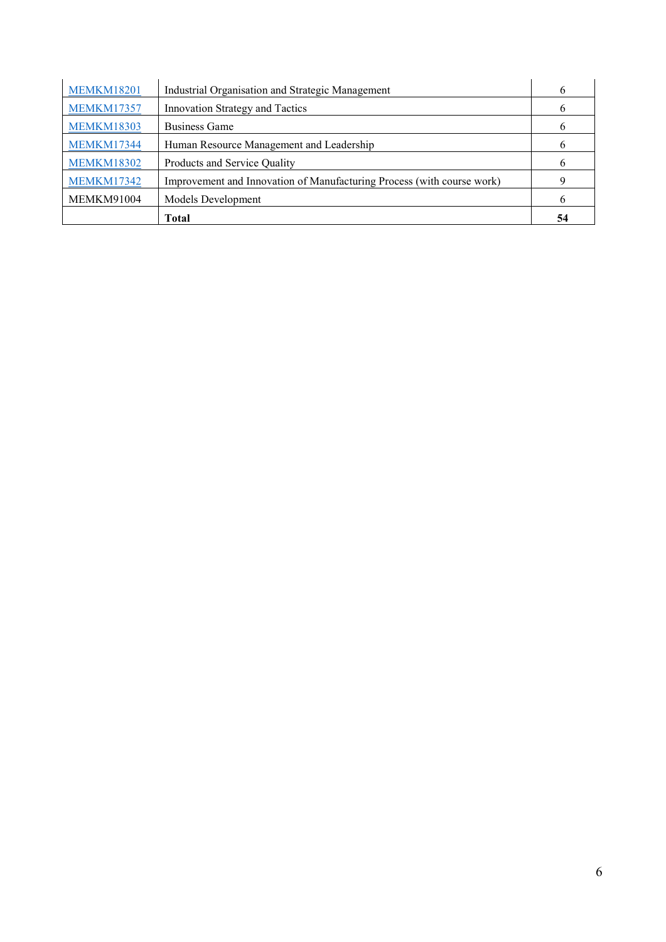| <b>MEMKM18201</b> | Industrial Organisation and Strategic Management                       |    |
|-------------------|------------------------------------------------------------------------|----|
| <b>MEMKM17357</b> | Innovation Strategy and Tactics                                        |    |
| <b>MEMKM18303</b> | Business Game                                                          |    |
| <b>MEMKM17344</b> | Human Resource Management and Leadership                               |    |
| <b>MEMKM18302</b> | Products and Service Quality                                           |    |
| <b>MEMKM17342</b> | Improvement and Innovation of Manufacturing Process (with course work) |    |
| <b>MEMKM91004</b> | Models Development                                                     | h  |
|                   | Total                                                                  | 54 |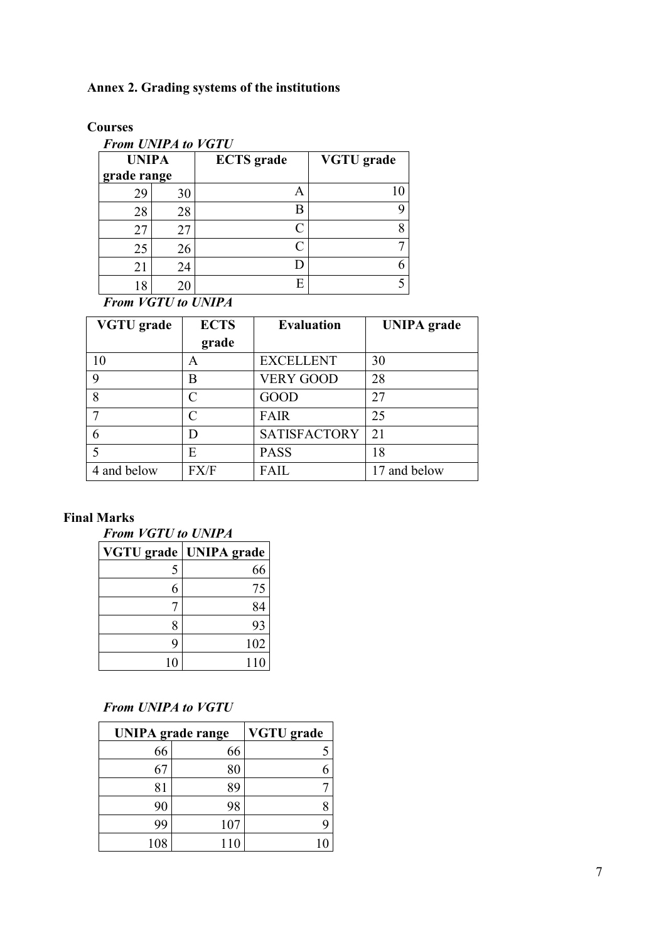# **Annex 2. Grading systems of the institutions**

**Courses**

| <b>From UNIPA to VGTU</b> |    |                   |                   |
|---------------------------|----|-------------------|-------------------|
| <b>UNIPA</b>              |    | <b>ECTS</b> grade | <b>VGTU</b> grade |
| grade range               |    |                   |                   |
| 29                        | 30 | Α                 | 10                |
| 28                        | 28 | Β                 | q                 |
| 27                        | 27 | $\subset$         | 8                 |
| 25                        | 26 | $\subset$         |                   |
| 21                        | 24 |                   |                   |
| 18                        | 20 | E                 |                   |

*From VGTU to UNIPA*

| <b>VGTU</b> grade | <b>ECTS</b> | <b>Evaluation</b>   | <b>UNIPA</b> grade |
|-------------------|-------------|---------------------|--------------------|
|                   | grade       |                     |                    |
| 10                | А           | <b>EXCELLENT</b>    | 30                 |
| 9                 | B           | <b>VERY GOOD</b>    | 28                 |
| 8                 | C           | <b>GOOD</b>         | 27                 |
|                   | $\subset$   | <b>FAIR</b>         | 25                 |
|                   | D           | <b>SATISFACTORY</b> | 21                 |
|                   | E           | <b>PASS</b>         | 18                 |
| 4 and below       | FX/F        | <b>FAIL</b>         | 17 and below       |

# **Final Marks**

*From VGTU to UNIPA*

| <b>VGTU</b> grade | <b>UNIPA</b> grade |
|-------------------|--------------------|
| 5                 | 66                 |
| 6                 | 75                 |
|                   | 84                 |
| 8                 | 93                 |
| 9                 | 102                |
| 10                | 110                |

# *From UNIPA to VGTU*

| <b>UNIPA</b> grade range |     | <b>VGTU</b> grade |
|--------------------------|-----|-------------------|
| 66                       | 66  |                   |
|                          | 80  |                   |
| 81                       | ₹q  |                   |
| 90                       | 98  |                   |
| 99                       | 107 |                   |
|                          |     |                   |